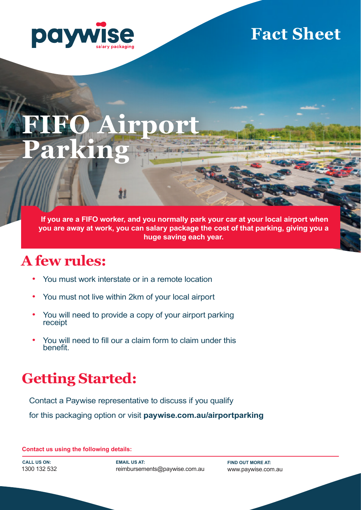

# **Fact Sheet**

## **FIFO Airport Parking**  $300187$

 **If you are a FIFO worker, and you normally park your car at your local airport when you are away at work, you can salary package the cost of that parking, giving you a huge saving each year.** 

## **A few rules:**

- You must work interstate or in a remote location
- You must not live within 2km of your local airport
- You will need to provide a copy of your airport parking receipt
- You will need to fill our a claim form to claim under this benefit.

## **Getting Started:**

Contact a Paywise representative to discuss if you qualify

for this packaging option or visit **paywise.com.au/airportparking**

**Contact us using the following details:**

**CALL US ON:**  1300 132 532 **EMAIL US AT:**  reimbursements@paywise.com.au

**FIND OUT MORE AT:**  www.paywise.com.au